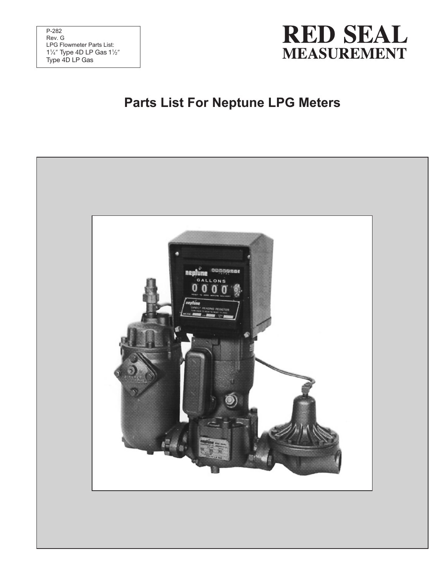

#### **Parts List For Neptune LPG Meters**

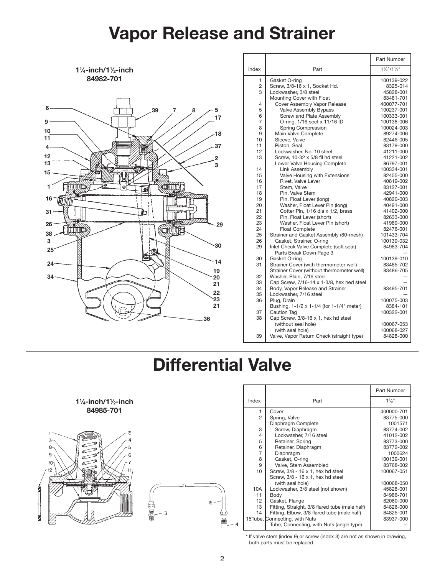### Vapor Release and Strainer



|                |                                           | Part Number                        |
|----------------|-------------------------------------------|------------------------------------|
| Index          | Part                                      | $1\frac{1}{4}$ "/1 $\frac{1}{2}$ " |
| 1              | Gasket O-ring                             | 100139-022                         |
| $\overline{c}$ | Screw, 3/8-16 x 1, Socket Hd.             | 8325-014                           |
| 3              | Lockwasher, 3/8 steel                     | 45828-001                          |
|                | Mounting Cover with Float                 | 83481-701                          |
| 4              | Cover Assembly Vapor Release              | 400077-701                         |
| 5              | Valve Assembly Bypass                     | 100237-001                         |
| 6              | Screw and Plate Assembly                  | 100333-001                         |
| 7              | O-ring, 1/16 sect x 11/16 ID              | 100138-006                         |
| 8              | Spring Compression                        | 100024-003                         |
| 9              | Main Valve Complete                       | 89274-006                          |
| 10             | Sleeve, Valve                             | 82446-005                          |
| 11             | Piston, Seal                              | 83179-000                          |
| 12             | Lockwasher, No. 10 steel                  | 41211-000                          |
| 13             | Screw, 10-32 x 5/8 fil hd steel           | 41221-002                          |
|                | Lower Valve Housing Complete              | 86797-001                          |
| 14             | Link Assembly                             | 100334-001                         |
| 15             | Valve Housing with Extensions             | 82455-000                          |
| 16             | Rivet, Valve Lever                        | 40819-002                          |
| 17             | Stem, Valve                               | 83127-001                          |
| 18             | Pin. Valve Stem                           | 42941-000                          |
| 19             | Pin, Float Lever (long)                   | 40820-003                          |
| 20             | Washer, Float Lever Pin (long)            | 40491-000                          |
| 21             | Cotter Pin, 1/16 dia x 1/2, brass         | 41402-000                          |
| 22             | Pin, Float Lever (short)                  | 82633-000                          |
| 23             | Washer, Float Lever Pin (short)           | 41989-000                          |
| 24             | <b>Float Complete</b>                     | 82476-001                          |
| 25             | Strainer and Gasket Assembly (80-mesh)    | 101433-704                         |
| 26             | Gasket, Strainer, O-ring                  | 100139-032                         |
| 29             | Inlet Check Valve Complete (soft seat)    | 84983-704                          |
|                | Parts Break Down Page 3                   |                                    |
| 30             | Gasket O-ring                             | 100139-010                         |
| 31             | Strainer Cover (with thermometer well)    | 83485-702                          |
|                | Strainer Cover (without thermometer well) | 83486-705                          |
| 32             | Washer, Plain, 7/16 steel                 |                                    |
| 33             | Cap Screw, 7/16-14 x 1-3/8, hex hed steel |                                    |
| 34             | Body, Vapor Release and Strainer          | 83495-701                          |
| 35             | Lockwasher, 7/16 steel                    |                                    |
| 36             | Plug, Drain                               | 100075-003                         |
|                | Bushing, 1-1/2 x 1-1/4 (for 1-1/4" meter) | 8384-101                           |
| 37             | Caution Tag                               | 100322-001                         |
| 38             | Cap Screw, 3/8-16 x 1, hex hd steel       |                                    |
|                | (without seal hole)                       | 100067-053                         |
|                | (with seal hole)                          | 100068-027                         |
| 39             | Valve, Vapor Return Check (straight type) | 84828-000                          |

### Differential Valve



 $1\frac{1}{4}$ -inch/1 $\frac{1}{2}$ -inch



|                |                                                | Part Number    |
|----------------|------------------------------------------------|----------------|
| Index          | Part                                           | $1\frac{1}{2}$ |
| 1              | Cover                                          | 400000-701     |
| $\mathfrak{p}$ | Spring, Valve                                  | 83775-000      |
|                | Diaphragm Complete                             | 1001571        |
| 3              | Screw, Diaphragm                               | 83774-002      |
| 4              | Lockwasher, 7/16 steel                         | 41012-002      |
| 5              | Retainer, Spring                               | 83773-000      |
| 6              | Retainer, Diaphragm                            | 83772-002      |
| 7              | Diaphragm                                      | 1000624        |
| 8              | Gasket, O-ring                                 | 100139-001     |
| 9              | Valve, Stem Assembled                          | 83768-002      |
| 10             | Screw, 3/8 - 16 x 1, hex hd steel              | 100067-051     |
|                | Screw, 3/8 - 16 x 1, hex hd steel              |                |
|                | (with seal hole)                               | 100068-050     |
| 10A            | Lockwasher, 3/8 steel (not shown)              | 45828-001      |
| 11             | Body                                           | 84986-701      |
| 12             | Gasket, Flange                                 | 82060-000      |
| 13             | Fitting, Straight, 3/8 flared tube (male half) | 84826-000      |
| 14             | Fitting, Elbow, 3/8 flared tube (male half)    | 84825-001      |
|                | 15Tube, Connecting, with Nuts                  | 83937-000      |
|                | Tube, Connecting, with Nuts (angle type)       |                |

\* If valve stem (index 9) or screw (index 3) are not as shown in drawing, both parts must be replaced.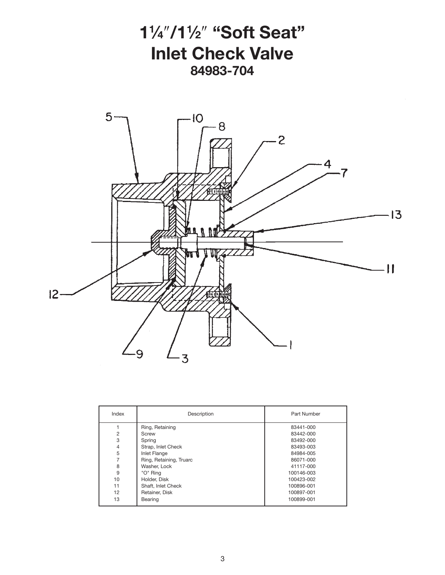

| Index          | Description             | Part Number |
|----------------|-------------------------|-------------|
|                | Ring, Retaining         | 83441-000   |
| $\overline{2}$ | Screw                   | 83442-000   |
| 3              | Spring                  | 83492-000   |
| $\overline{4}$ | Strap, Inlet Check      | 83493-003   |
| 5              | <b>Inlet Flange</b>     | 84984-005   |
|                | Ring, Retaining, Truarc | 86071-000   |
| 8              | Washer, Lock            | 41117-000   |
| 9              | "O" Ring                | 100146-003  |
| 10             | Holder, Disk            | 100423-002  |
| 11             | Shaft, Inlet Check      | 100896-001  |
| 12             | Retainer, Disk          | 100897-001  |
| 13             | Bearing                 | 100899-001  |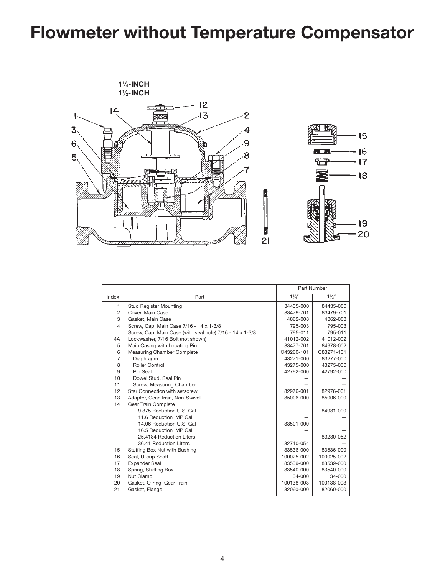## Flowmeter without Temperature Compensator



|                |                                                          | Part Number    |                |
|----------------|----------------------------------------------------------|----------------|----------------|
| Index          | Part                                                     | $1\frac{1}{4}$ | $1\frac{1}{2}$ |
| 1              | <b>Stud Register Mounting</b>                            | 84435-000      | 84435-000      |
| $\overline{2}$ | Cover, Main Case                                         | 83479-701      | 83479-701      |
| 3              | Gasket, Main Case                                        | 4862-008       | 4862-008       |
| 4              | Screw, Cap, Main Case 7/16 - 14 x 1-3/8                  | 795-003        | 795-003        |
|                | Screw, Cap, Main Case (with seal hole) 7/16 - 14 x 1-3/8 | 795-011        | 795-011        |
| 4A             | Lockwasher, 7/16 Bolt (not shown)                        | 41012-002      | 41012-002      |
| 5              | Main Casing with Locating Pin                            | 83477-701      | 84978-002      |
| 6              | Measuring Chamber Complete                               | C43260-101     | C83271-101     |
| 7              | Diaphragm                                                | 43271-000      | 83277-000      |
| 8              | Roller Control                                           | 43275-000      | 43275-000      |
| 9              | Pin Seal                                                 | 42792-000      | 42792-000      |
| 10             | Dowel Stud, Seal Pin                                     |                |                |
| 11             | Screw, Measuring Chamber                                 |                |                |
| 12             | Star Connection with setscrew                            | 82976-001      | 82976-001      |
| 13             | Adapter, Gear Train, Non-Swivel                          | 85006-000      | 85006-000      |
| 14             | Gear Train Complete                                      |                |                |
|                | 9.375 Reduction U.S. Gal                                 |                | 84981-000      |
|                | 11.6 Reduction IMP Gal                                   |                |                |
|                | 14.06 Reduction U.S. Gal                                 | 83501-000      |                |
|                | 16.5 Reduction IMP Gal                                   |                |                |
|                | 25.4184 Reduction Liters                                 |                | 83280-052      |
|                | 36.41 Reduction Liters                                   | 82710-054      |                |
| 15             | Stuffing Box Nut with Bushing                            | 83536-000      | 83536-000      |
| 16             | Seal, U-cup Shaft                                        | 100025-002     | 100025-002     |
| 17             | <b>Expander Seal</b>                                     | 83539-000      | 83539-000      |
| 18             | Spring, Stuffing Box                                     | 83540-000      | 83540-000      |
| 19             | Nut Clamp                                                | 34-000         | 34-000         |
| 20             | Gasket, O-ring, Gear Train                               | 100138-003     | 100138-003     |
| 21             | Gasket, Flange                                           | 82060-000      | 82060-000      |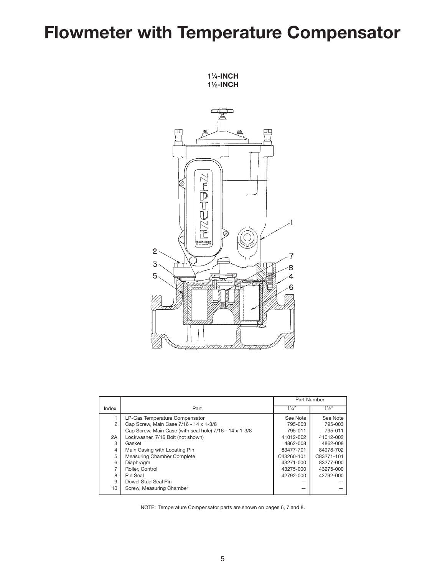## Flowmeter with Temperature Compensator

11 ⁄4-inch 1<sup>1</sup>/<sub>2</sub>-INCH

 $\sqrt{\frac{1}{2}}$ ħ ρq ΠC 7 .<br>D<br>D<br>D **F** Ø MOVE COVER<br>CALIBRATE  $\overline{c}$ 3 я  $5<sub>o</sub>$ 

|                |                                                         | Part Number    |                |
|----------------|---------------------------------------------------------|----------------|----------------|
| Index          | Part                                                    | $1\frac{1}{4}$ | $1\frac{1}{2}$ |
|                | LP-Gas Temperature Compensator                          | See Note       | See Note       |
| 2              | Cap Screw, Main Case 7/16 - 14 x 1-3/8                  | 795-003        | 795-003        |
|                | Cap Screw, Main Case (with seal hole) 7/16 - 14 x 1-3/8 | 795-011        | 795-011        |
| 2A             | Lockwasher, 7/16 Bolt (not shown)                       | 41012-002      | 41012-002      |
| 3              | Gasket                                                  | 4862-008       | 4862-008       |
| $\overline{4}$ | Main Casing with Locating Pin                           | 83477-701      | 84978-702      |
| 5              | Measuring Chamber Complete                              | C43260-101     | C83271-101     |
| 6              | Diaphragm                                               | 43271-000      | 83277-000      |
| 7              | Roller, Control                                         | 43275-000      | 43275-000      |
| 8              | Pin Seal                                                | 42792-000      | 42792-000      |
| 9              | Dowel Stud Seal Pin                                     |                |                |
| 10             | Screw, Measuring Chamber                                |                |                |

NOTE: Temperature Compensator parts are shown on pages 6, 7 and 8.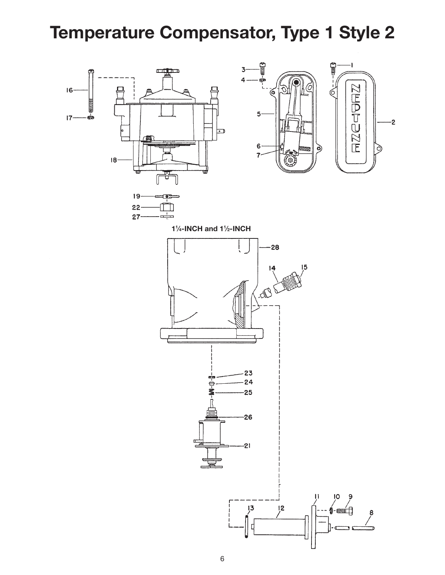## Temperature Compensator, Type 1 Style 2







1<sup>1</sup>/<sub>4</sub>-INCH and 1<sup>1</sup>/<sub>2</sub>-INCH

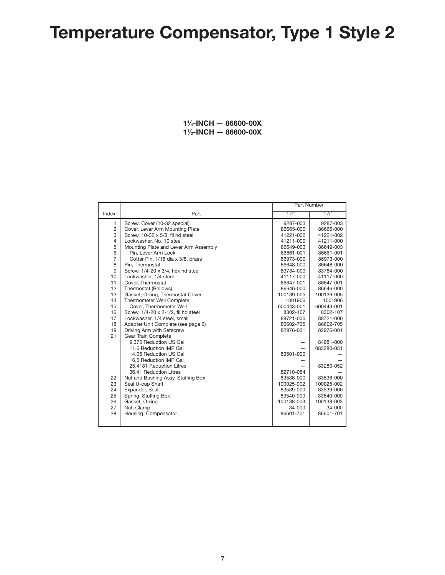# Temperature Compensator, Type 1 Style 2

 ⁄4-inch — 86600-00X ⁄2-inch — 86600-00X

| $1\frac{1}{4}$<br>Part<br>Index<br>1<br>Screw, Cover (10-32 special)<br>9287-003 | $1\frac{1}{2}$<br>9287-003 |
|----------------------------------------------------------------------------------|----------------------------|
|                                                                                  |                            |
|                                                                                  |                            |
| $\overline{2}$<br>Cover, Lever Arm Mounting Plate<br>86665-000                   | 86665-000                  |
| 3<br>Screw, 10-32 x 5/8, fil hd steel<br>41221-002                               | 41221-002                  |
| $\overline{4}$<br>Lockwasher, No. 10 steel<br>41211-000                          | 41211-000                  |
| 5<br>Mounting Plate and Lever Arm Assembly<br>86649-003                          | 86649-003                  |
| 6<br>Pin, Lever Arm Lock<br>86661-001                                            | 86661-001                  |
| $\overline{7}$<br>Cotter Pin, 1/16 dia x 3/8, brass<br>86973-000                 | 86973-000                  |
| 8<br>Pin. Thermostat<br>86648-000                                                | 86648-000                  |
| 9<br>Screw, 1/4-20 x 3/4, hex hd steel<br>83784-000                              | 83784-000                  |
| 10<br>Lockwasher, 1/4 steel<br>41117-000                                         | 41117-000                  |
| 11<br>Cover, Thermostat<br>86647-001                                             | 86647-001                  |
| 12<br>Thermostat (Bellows)<br>86646-000                                          | 86646-000                  |
| 13<br>Gasket, O-ring, Thermostat Cover<br>100139-005                             | 100139-005                 |
| Thermometer Well Complete<br>14<br>1001906                                       | 1001906                    |
| 15<br>Cover. Thermometer Well<br>600443-001                                      | 600443-001                 |
| 16<br>Screw, 1/4-20 x 2-1/2, fil hd steel<br>8302-107                            | 8302-107                   |
| 17<br>Lockwasher, 1/4 steel, small<br>88721-000                                  | 88721-000                  |
| 18<br>Adapter Unit Complete (see page 6)<br>86602-705                            | 86602-705                  |
| Driving Arm with Setscrew<br>19<br>82976-001                                     | 82976-001                  |
| 21<br><b>Gear Train Complete</b>                                                 |                            |
| 9.375 Reduction US Gal                                                           | 84981-000                  |
| 11.6 Reduction IMP Gal                                                           | 083280-051                 |
| 14.06 Reduction US Gal<br>83501-000                                              |                            |
| 16.5 Reduction IMP Gal                                                           |                            |
| 25.4181 Reduction Litres                                                         | 83280-052                  |
| 82710-054<br>36.41 Reduction Litres                                              |                            |
| 22<br>Nut and Bushing Assy, Stuffing Box<br>83536-000                            | 83536-000                  |
| 23<br>Seal U-cup Shaft<br>100025-002                                             | 100025-002                 |
| 24<br>Expander, Seal<br>83539-000                                                | 83539-000                  |
| 25<br>Spring, Stuffing Box<br>83540-000                                          | 83540-000                  |
| 26<br>Gasket, O-ring<br>100138-003                                               | 100138-003                 |
| 27<br>Nut, Clamp<br>34-000                                                       | 34-000                     |
| 28<br>Housing, Compensator<br>86601-701                                          | 86601-701                  |
|                                                                                  |                            |